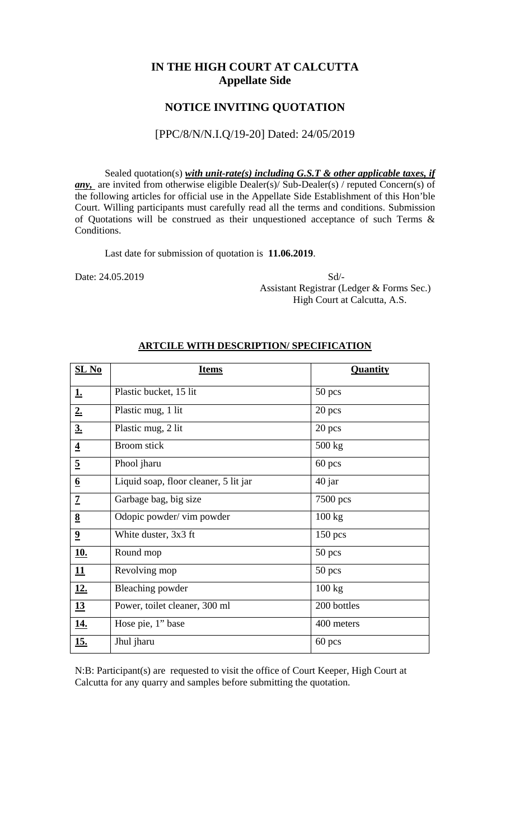## **IN THE HIGH COURT AT CALCUTTA Appellate Side**

## **NOTICE INVITING QUOTATION**

#### [PPC/8/N/N.I.Q/19-20] Dated: 24/05/2019

Sealed quotation(s) *with unit-rate(s) including G.S.T & other applicable taxes, if any*, are invited from otherwise eligible Dealer(s)/ Sub-Dealer(s) / reputed Concern(s) of the following articles for official use in the Appellate Side Establishment of this Hon'ble Court. Willing participants must carefully read all the terms and conditions. Submission of Quotations will be construed as their unquestioned acceptance of such Terms & Conditions.

Last date for submission of quotation is **11.06.2019**.

Date: 24.05.2019 Sd/- Assistant Registrar (Ledger & Forms Sec.) High Court at Calcutta, A.S.

| $SL$ No                 | <b>Items</b>                          | Quantity         |
|-------------------------|---------------------------------------|------------------|
| <u>1.</u>               | Plastic bucket, 15 lit                | $50$ pcs         |
| 2.                      | Plastic mug, 1 lit                    | 20 pcs           |
| 3.                      | Plastic mug, 2 lit                    | 20 pcs           |
| $\overline{\mathbf{4}}$ | <b>Broom</b> stick                    | $500 \text{ kg}$ |
| $\overline{5}$          | Phool jharu                           | 60 pcs           |
| $\underline{6}$         | Liquid soap, floor cleaner, 5 lit jar | 40 jar           |
| $\overline{1}$          | Garbage bag, big size                 | 7500 pcs         |
| 8                       | Odopic powder/ vim powder             | 100 kg           |
| $\overline{\mathbf{2}}$ | White duster, 3x3 ft                  | 150 pcs          |
| <u>10.</u>              | Round mop                             | 50 pcs           |
| 11                      | Revolving mop                         | $50$ pcs         |
| <u>12.</u>              | <b>Bleaching powder</b>               | 100 kg           |
| 13                      | Power, toilet cleaner, 300 ml         | 200 bottles      |
| <u>14.</u>              | Hose pie, 1" base                     | 400 meters       |
| <u>15.</u>              | Jhul jharu                            | 60 pcs           |

#### **ARTCILE WITH DESCRIPTION/ SPECIFICATION**

N:B: Participant(s) are requested to visit the office of Court Keeper, High Court at Calcutta for any quarry and samples before submitting the quotation.